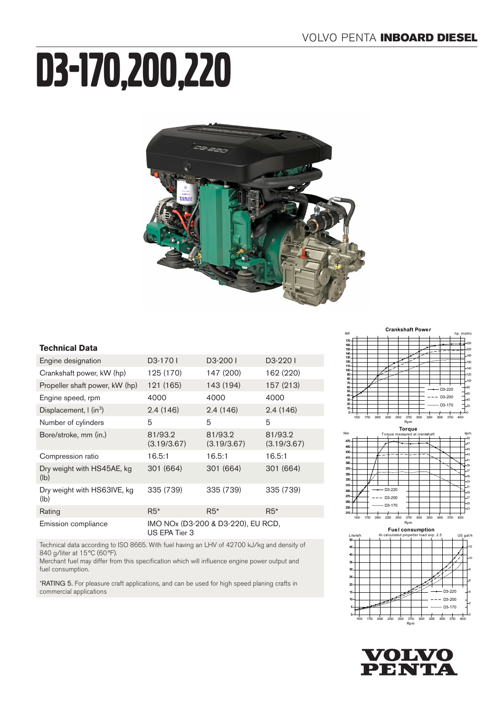# D3-170,200,220



#### **Technical Data**

| Engine designation                      | D <sub>3</sub> -1701                                | D <sub>3</sub> -2001   | D3-2201                |
|-----------------------------------------|-----------------------------------------------------|------------------------|------------------------|
| Crankshaft power, kW (hp)               | 125 (170)                                           | 147 (200)              | 162 (220)              |
| Propeller shaft power, kW (hp)          | 121 (165)                                           | 143 (194)              | 157 (213)              |
| Engine speed, rpm                       | 4000                                                | 4000                   | 4000                   |
| Displacement, $\int$ (in <sup>3</sup> ) | 2.4(146)                                            | 2.4(146)               | 2.4(146)               |
| Number of cylinders                     | 5                                                   | 5                      | 5                      |
| Bore/stroke, mm (in.)                   | 81/93.2<br>(3.19/3.67)                              | 81/93.2<br>(3.19/3.67) | 81/93.2<br>(3.19/3.67) |
| Compression ratio                       | 16.5:1                                              | 16.5:1                 | 16.5:1                 |
| Dry weight with HS45AE, kg<br>(lb)      | 301 (664)                                           | 301 (664)              | 301 (664)              |
| Dry weight with HS63IVE, kg<br>(lb)     | 335 (739)                                           | 335 (739)              | 335 (739)              |
| Rating                                  | $R5*$                                               | $R5*$                  | $R5*$                  |
| Emission compliance                     | IMO NOx (D3-200 & D3-220), EU RCD,<br>US EPA Tier 3 |                        |                        |
|                                         |                                                     |                        |                        |

Technical data according to ISO 8665. With fuel having an LHV of 42700 kJ/kg and density of 840 g/liter at 15°C (60°F).

Merchant fuel may differ from this specification which will influence engine power output and fuel consumption.

\*RATING 5. For pleasure craft applications, and can be used for high speed planing crafts in commercial applications